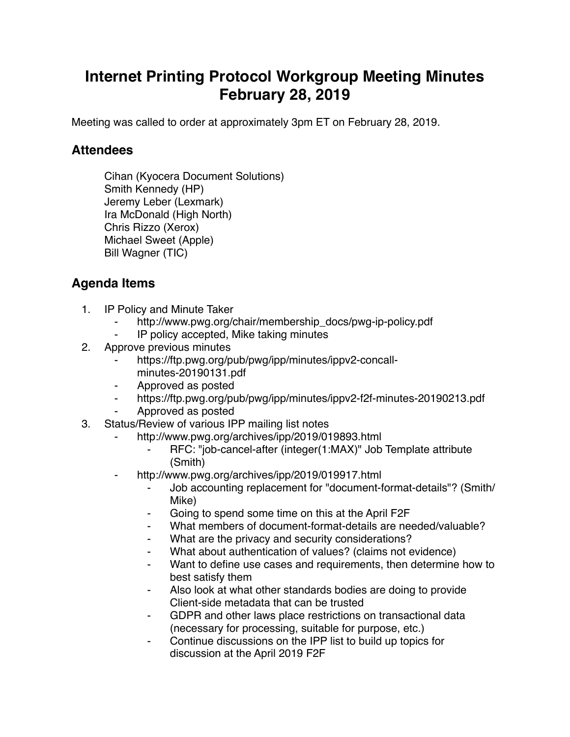## **Internet Printing Protocol Workgroup Meeting Minutes February 28, 2019**

Meeting was called to order at approximately 3pm ET on February 28, 2019.

## **Attendees**

Cihan (Kyocera Document Solutions) Smith Kennedy (HP) Jeremy Leber (Lexmark) Ira McDonald (High North) Chris Rizzo (Xerox) Michael Sweet (Apple) Bill Wagner (TIC)

## **Agenda Items**

- 1. IP Policy and Minute Taker
	- http://www.pwg.org/chair/membership\_docs/pwg-ip-policy.pdf
	- ⁃ IP policy accepted, Mike taking minutes
- 2. Approve previous minutes
	- https://ftp.pwg.org/pub/pwg/ipp/minutes/ippv2-concallminutes-20190131.pdf
	- ⁃ Approved as posted
	- ⁃ https://ftp.pwg.org/pub/pwg/ipp/minutes/ippv2-f2f-minutes-20190213.pdf
	- ⁃ Approved as posted
- 3. Status/Review of various IPP mailing list notes
	- http://www.pwg.org/archives/ipp/2019/019893.html
		- ⁃ RFC: "job-cancel-after (integer(1:MAX)" Job Template attribute (Smith)
	- http://www.pwg.org/archives/ipp/2019/019917.html
		- ⁃ Job accounting replacement for "document-format-details"? (Smith/ Mike)
		- Going to spend some time on this at the April F2F
		- What members of document-format-details are needed/valuable?
		- What are the privacy and security considerations?
		- ⁃ What about authentication of values? (claims not evidence)
		- Want to define use cases and requirements, then determine how to best satisfy them
		- Also look at what other standards bodies are doing to provide Client-side metadata that can be trusted
		- GDPR and other laws place restrictions on transactional data (necessary for processing, suitable for purpose, etc.)
		- ⁃ Continue discussions on the IPP list to build up topics for discussion at the April 2019 F2F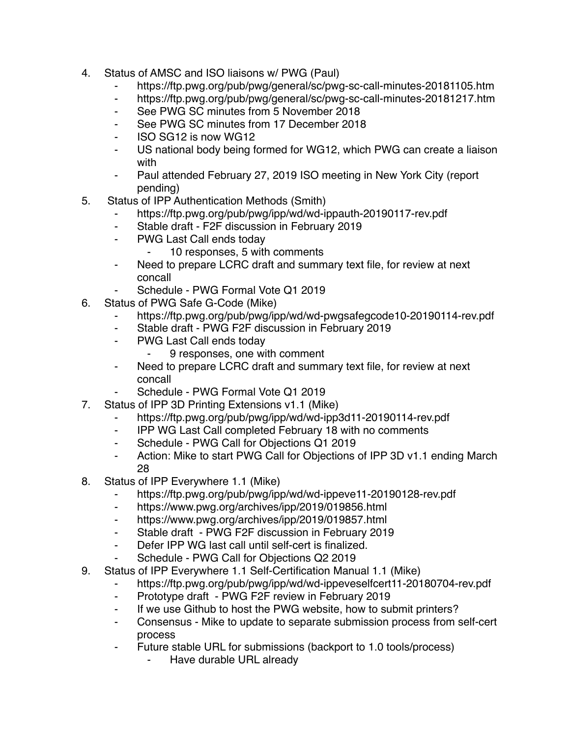- 4. Status of AMSC and ISO liaisons w/ PWG (Paul)
	- ⁃ https://ftp.pwg.org/pub/pwg/general/sc/pwg-sc-call-minutes-20181105.htm
	- https://ftp.pwg.org/pub/pwg/general/sc/pwg-sc-call-minutes-20181217.htm
	- ⁃ See PWG SC minutes from 5 November 2018
	- ⁃ See PWG SC minutes from 17 December 2018
	- ⁃ ISO SG12 is now WG12
	- US national body being formed for WG12, which PWG can create a liaison with
	- Paul attended February 27, 2019 ISO meeting in New York City (report pending)
- 5. Status of IPP Authentication Methods (Smith)
	- ⁃ https://ftp.pwg.org/pub/pwg/ipp/wd/wd-ippauth-20190117-rev.pdf
	- ⁃ Stable draft F2F discussion in February 2019
	- ⁃ PWG Last Call ends today
		- 10 responses, 5 with comments
	- Need to prepare LCRC draft and summary text file, for review at next concall
	- Schedule PWG Formal Vote Q1 2019
- 6. Status of PWG Safe G-Code (Mike)
	- https://ftp.pwg.org/pub/pwg/ipp/wd/wd-pwgsafegcode10-20190114-rev.pdf
	- Stable draft PWG F2F discussion in February 2019
	- ⁃ PWG Last Call ends today
		- ⁃ 9 responses, one with comment
	- ⁃ Need to prepare LCRC draft and summary text file, for review at next concall
	- Schedule PWG Formal Vote Q1 2019
- 7. Status of IPP 3D Printing Extensions v1.1 (Mike)
	- ⁃ https://ftp.pwg.org/pub/pwg/ipp/wd/wd-ipp3d11-20190114-rev.pdf
	- ⁃ IPP WG Last Call completed February 18 with no comments
	- ⁃ Schedule PWG Call for Objections Q1 2019
	- ⁃ Action: Mike to start PWG Call for Objections of IPP 3D v1.1 ending March 28
- 8. Status of IPP Everywhere 1.1 (Mike)
	- https://ftp.pwg.org/pub/pwg/ipp/wd/wd-ippeve11-20190128-rev.pdf
	- ⁃ https://www.pwg.org/archives/ipp/2019/019856.html
	- ⁃ https://www.pwg.org/archives/ipp/2019/019857.html
	- ⁃ Stable draft PWG F2F discussion in February 2019
	- ⁃ Defer IPP WG last call until self-cert is finalized.
	- Schedule PWG Call for Objections Q2 2019
- 9. Status of IPP Everywhere 1.1 Self-Certification Manual 1.1 (Mike)
	- https://ftp.pwg.org/pub/pwg/ipp/wd/wd-ippeveselfcert11-20180704-rev.pdf
	- ⁃ Prototype draft PWG F2F review in February 2019
	- If we use Github to host the PWG website, how to submit printers?
	- ⁃ Consensus Mike to update to separate submission process from self-cert process
	- ⁃ Future stable URL for submissions (backport to 1.0 tools/process)
		- Have durable URL already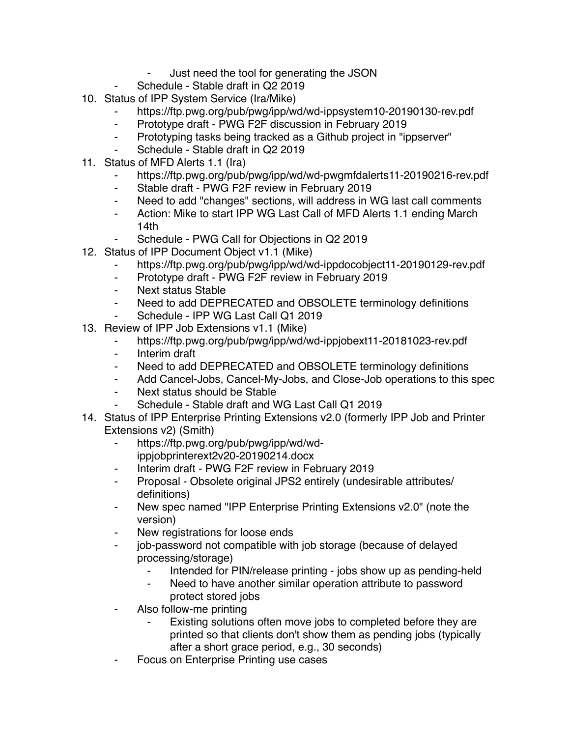- Just need the tool for generating the JSON
- Schedule Stable draft in Q2 2019
- 10. Status of IPP System Service (Ira/Mike)
	- https://ftp.pwg.org/pub/pwg/ipp/wd/wd-ippsystem10-20190130-rev.pdf
	- ⁃ Prototype draft PWG F2F discussion in February 2019
	- Prototyping tasks being tracked as a Github project in "ippserver"
	- Schedule Stable draft in Q2 2019
- 11. Status of MFD Alerts 1.1 (Ira)
	- https://ftp.pwg.org/pub/pwg/ipp/wd/wd-pwgmfdalerts11-20190216-rev.pdf
	- ⁃ Stable draft PWG F2F review in February 2019
	- ⁃ Need to add "changes" sections, will address in WG last call comments
	- ⁃ Action: Mike to start IPP WG Last Call of MFD Alerts 1.1 ending March 14th
	- Schedule PWG Call for Objections in Q2 2019
- 12. Status of IPP Document Object v1.1 (Mike)
	- https://ftp.pwg.org/pub/pwg/ipp/wd/wd-ippdocobject11-20190129-rev.pdf
	- ⁃ Prototype draft PWG F2F review in February 2019
	- ⁃ Next status Stable
	- Need to add DEPRECATED and OBSOLETE terminology definitions
	- Schedule IPP WG Last Call Q1 2019
- 13. Review of IPP Job Extensions v1.1 (Mike)
	- ⁃ https://ftp.pwg.org/pub/pwg/ipp/wd/wd-ippjobext11-20181023-rev.pdf
	- ⁃ Interim draft
	- ⁃ Need to add DEPRECATED and OBSOLETE terminology definitions
	- ⁃ Add Cancel-Jobs, Cancel-My-Jobs, and Close-Job operations to this spec
	- Next status should be Stable
	- Schedule Stable draft and WG Last Call Q1 2019
- 14. Status of IPP Enterprise Printing Extensions v2.0 (formerly IPP Job and Printer Extensions v2) (Smith)
	- ⁃ https://ftp.pwg.org/pub/pwg/ipp/wd/wdippjobprinterext2v20-20190214.docx
	- ⁃ Interim draft PWG F2F review in February 2019
	- Proposal Obsolete original JPS2 entirely (undesirable attributes/ definitions)
	- ⁃ New spec named "IPP Enterprise Printing Extensions v2.0" (note the version)
	- ⁃ New registrations for loose ends
	- job-password not compatible with job storage (because of delayed processing/storage)
		- Intended for PIN/release printing jobs show up as pending-held
		- Need to have another similar operation attribute to password protect stored jobs
	- Also follow-me printing
		- Existing solutions often move jobs to completed before they are printed so that clients don't show them as pending jobs (typically after a short grace period, e.g., 30 seconds)
	- Focus on Enterprise Printing use cases